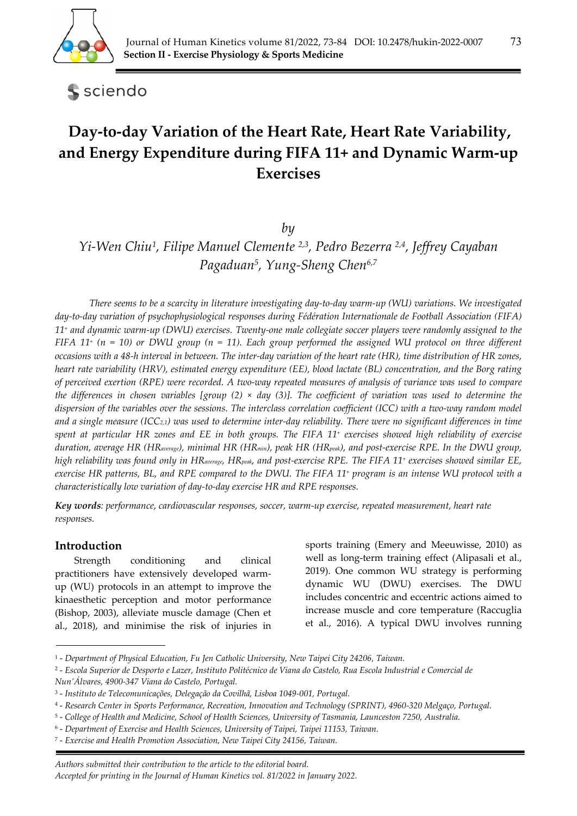

sciendo

# **Day‐to‐day Variation of the Heart Rate, Heart Rate Variability, and Energy Expenditure during FIFA 11+ and Dynamic Warm‐up Exercises**

*by* 

*Yi-Wen Chiu1, Filipe Manuel Clemente 2,3, Pedro Bezerra 2,4, Jeffrey Cayaban Pagaduan5, Yung-Sheng Chen6,7*

*There seems to be a scarcity in literature investigating day-to-day warm-up (WU) variations. We investigated day-to-day variation of psychophysiological responses during Fédération Internationale de Football Association (FIFA) 11+ and dynamic warm-up (DWU) exercises. Twenty-one male collegiate soccer players were randomly assigned to the FIFA 11+ (n = 10) or DWU group (n = 11). Each group performed the assigned WU protocol on three different occasions with a 48-h interval in between. The inter-day variation of the heart rate (HR), time distribution of HR zones, heart rate variability (HRV), estimated energy expenditure (EE), blood lactate (BL) concentration, and the Borg rating of perceived exertion (RPE) were recorded. A two-way repeated measures of analysis of variance was used to compare the differences in chosen variables [group (2) × day (3)]. The coefficient of variation was used to determine the dispersion of the variables over the sessions. The interclass correlation coefficient (ICC) with a two-way random model and a single measure (ICC2,1) was used to determine inter-day reliability. There were no significant differences in time spent at particular HR zones and EE in both groups. The FIFA 11+ exercises showed high reliability of exercise duration, average HR (HRaverage), minimal HR (HRmin), peak HR (HRpeak), and post-exercise RPE. In the DWU group, high reliability was found only in HRaverage, HRpeak, and post-exercise RPE. The FIFA 11+ exercises showed similar EE, exercise HR patterns, BL, and RPE compared to the DWU. The FIFA 11+ program is an intense WU protocol with a characteristically low variation of day-to-day exercise HR and RPE responses.* 

*Key words: performance, cardiovascular responses, soccer, warm-up exercise, repeated measurement, heart rate responses.* 

# **Introduction**

Strength conditioning and clinical practitioners have extensively developed warmup (WU) protocols in an attempt to improve the kinaesthetic perception and motor performance (Bishop, 2003), alleviate muscle damage (Chen et al., 2018), and minimise the risk of injuries in

sports training (Emery and Meeuwisse, 2010) as well as long-term training effect (Alipasali et al., 2019). One common WU strategy is performing dynamic WU (DWU) exercises. The DWU includes concentric and eccentric actions aimed to increase muscle and core temperature (Raccuglia et al., 2016). A typical DWU involves running

7 - *Exercise and Health Promotion Association, New Taipei City 24156, Taiwan.* 

*Authors submitted their contribution to the article to the editorial board. Accepted for printing in the Journal of Human Kinetics vol. 81/2022 in January 2022.* 

<sup>1 -</sup> *Department of Physical Education, Fu Jen Catholic University, New Taipei City 24206, Taiwan.* 

<sup>2 -</sup> *Escola Superior de Desporto e Lazer, Instituto Politécnico de Viana do Castelo, Rua Escola Industrial e Comercial de Nun'Álvares, 4900-347 Viana do Castelo, Portugal.* 

<sup>3 -</sup> *Instituto de Telecomunicações, Delegação da Covilhã, Lisboa 1049-001, Portugal.* 

<sup>4 -</sup> *Research Center in Sports Performance, Recreation, Innovation and Technology (SPRINT), 4960-320 Melgaço, Portugal.* 

<sup>5 -</sup> *College of Health and Medicine, School of Health Sciences, University of Tasmania, Launceston 7250, Australia.* 

<sup>6 -</sup> *Department of Exercise and Health Sciences, University of Taipei, Taipei 11153, Taiwan.*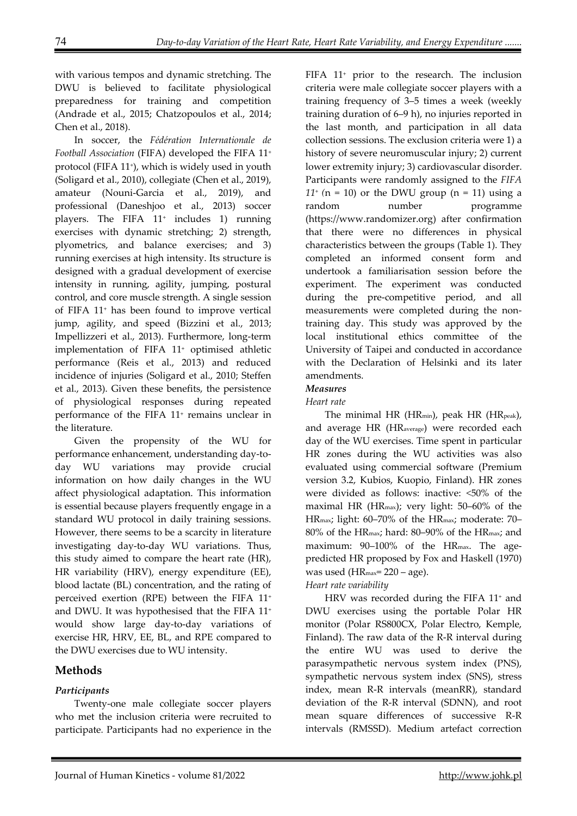with various tempos and dynamic stretching. The DWU is believed to facilitate physiological preparedness for training and competition (Andrade et al., 2015; Chatzopoulos et al., 2014; Chen et al., 2018).

In soccer, the *Fédération Internationale de Football Association* (FIFA) developed the FIFA 11+ protocol (FIFA 11+), which is widely used in youth (Soligard et al., 2010), collegiate (Chen et al., 2019), amateur (Nouni-Garcia et al., 2019), and professional (Daneshjoo et al., 2013) soccer players. The FIFA 11+ includes 1) running exercises with dynamic stretching; 2) strength, plyometrics, and balance exercises; and 3) running exercises at high intensity. Its structure is designed with a gradual development of exercise intensity in running, agility, jumping, postural control, and core muscle strength. A single session of FIFA 11+ has been found to improve vertical jump, agility, and speed (Bizzini et al., 2013; Impellizzeri et al., 2013). Furthermore, long-term implementation of FIFA 11<sup>+</sup> optimised athletic performance (Reis et al., 2013) and reduced incidence of injuries (Soligard et al., 2010; Steffen et al., 2013). Given these benefits, the persistence of physiological responses during repeated performance of the FIFA 11<sup>+</sup> remains unclear in the literature.

Given the propensity of the WU for performance enhancement, understanding day-today WU variations may provide crucial information on how daily changes in the WU affect physiological adaptation. This information is essential because players frequently engage in a standard WU protocol in daily training sessions. However, there seems to be a scarcity in literature investigating day-to-day WU variations. Thus, this study aimed to compare the heart rate (HR), HR variability (HRV), energy expenditure (EE), blood lactate (BL) concentration, and the rating of perceived exertion (RPE) between the FIFA 11+ and DWU. It was hypothesised that the FIFA 11+ would show large day-to-day variations of exercise HR, HRV, EE, BL, and RPE compared to the DWU exercises due to WU intensity.

# **Methods**

# *Participants*

Twenty-one male collegiate soccer players who met the inclusion criteria were recruited to participate*.* Participants had no experience in the FIFA 11+ prior to the research. The inclusion criteria were male collegiate soccer players with a training frequency of 3–5 times a week (weekly training duration of 6–9 h), no injuries reported in the last month, and participation in all data collection sessions. The exclusion criteria were 1) a history of severe neuromuscular injury; 2) current lower extremity injury; 3) cardiovascular disorder. Participants were randomly assigned to the *FIFA*   $11^{+}$  (n = 10) or the DWU group (n = 11) using a random number programme (https://www.randomizer.org) after confirmation that there were no differences in physical characteristics between the groups (Table 1). They completed an informed consent form and undertook a familiarisation session before the experiment. The experiment was conducted during the pre-competitive period, and all measurements were completed during the nontraining day. This study was approved by the local institutional ethics committee of the University of Taipei and conducted in accordance with the Declaration of Helsinki and its later amendments.

# *Measures*

#### *Heart rate*

The minimal HR (HR<sub>min</sub>), peak HR (HR<sub>peak</sub>), and average HR (HRaverage) were recorded each day of the WU exercises. Time spent in particular HR zones during the WU activities was also evaluated using commercial software (Premium version 3.2, Kubios, Kuopio, Finland). HR zones were divided as follows: inactive: *<*50% of the maximal HR (HRmax); very light: 50–60% of the HRmax; light: 60–70% of the HRmax; moderate: 70– 80% of the HRmax; hard: 80–90% of the HRmax; and maximum: 90–100% of the HRmax. The agepredicted HR proposed by Fox and Haskell (1970) was used ( $HR_{max} = 220 - age$ ).

# *Heart rate variability*

HRV was recorded during the FIFA 11+ and DWU exercises using the portable Polar HR monitor (Polar RS800CX, Polar Electro, Kemple, Finland). The raw data of the R-R interval during the entire WU was used to derive the parasympathetic nervous system index (PNS), sympathetic nervous system index (SNS), stress index, mean R-R intervals (meanRR), standard deviation of the R-R interval (SDNN), and root mean square differences of successive R-R intervals (RMSSD). Medium artefact correction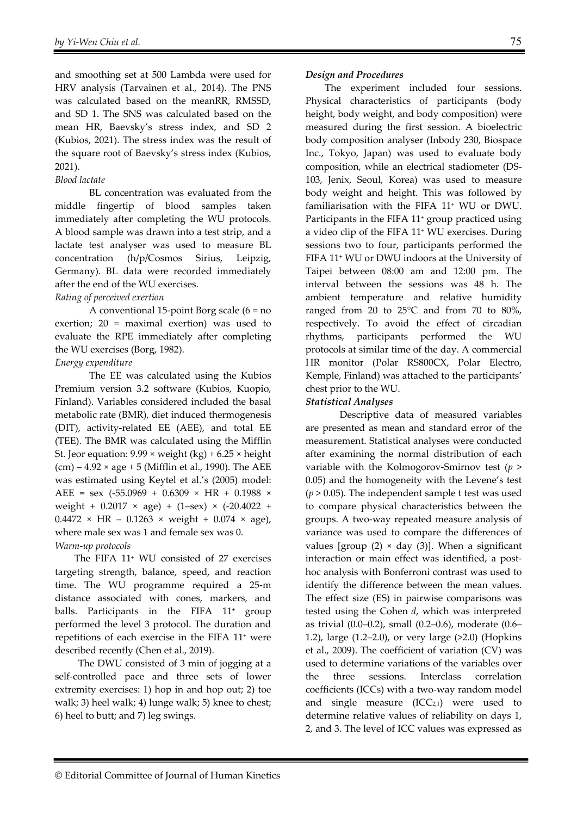and smoothing set at 500 Lambda were used for HRV analysis (Tarvainen et al., 2014). The PNS was calculated based on the meanRR, RMSSD, and SD 1. The SNS was calculated based on the mean HR, Baevsky's stress index, and SD 2 (Kubios, 2021). The stress index was the result of the square root of Baevsky's stress index (Kubios, 2021).

# *Blood lactate*

BL concentration was evaluated from the middle fingertip of blood samples taken immediately after completing the WU protocols. A blood sample was drawn into a test strip, and a lactate test analyser was used to measure BL concentration (h/p/Cosmos Sirius, Leipzig, Germany). BL data were recorded immediately after the end of the WU exercises.

# *Rating of perceived exertion*

A conventional 15-point Borg scale (6 = no exertion; 20 = maximal exertion) was used to evaluate the RPE immediately after completing the WU exercises (Borg, 1982).

# *Energy expenditure*

The EE was calculated using the Kubios Premium version 3.2 software (Kubios, Kuopio, Finland). Variables considered included the basal metabolic rate (BMR), diet induced thermogenesis (DIT), activity-related EE (AEE), and total EE (TEE). The BMR was calculated using the Mifflin St. Jeor equation:  $9.99 \times$  weight (kg) + 6.25  $\times$  height  $(cm) - 4.92 \times age + 5$  (Mifflin et al., 1990). The AEE was estimated using Keytel et al.'s (2005) model: AEE = sex  $(-55.0969 + 0.6309 \times HR + 0.1988 \times$ weight +  $0.2017 \times age$ ) +  $(1–sex) \times (-20.4022 +$  $0.4472 \times \text{HR} - 0.1263 \times \text{weight} + 0.074 \times \text{age}$ where male sex was 1 and female sex was 0. *Warm-up protocols* 

The FIFA 11+ WU consisted of 27 exercises targeting strength, balance, speed, and reaction time. The WU programme required a 25-m distance associated with cones, markers, and balls. Participants in the FIFA 11<sup>+</sup> group performed the level 3 protocol. The duration and repetitions of each exercise in the FIFA 11+ were described recently (Chen et al., 2019).

The DWU consisted of 3 min of jogging at a self-controlled pace and three sets of lower extremity exercises: 1) hop in and hop out; 2) toe walk; 3) heel walk; 4) lunge walk; 5) knee to chest; 6) heel to butt; and 7) leg swings.

#### *Design and Procedures*

The experiment included four sessions. Physical characteristics of participants (body height, body weight, and body composition) were measured during the first session. A bioelectric body composition analyser (Inbody 230, Biospace Inc., Tokyo, Japan) was used to evaluate body composition, while an electrical stadiometer (DS-103, Jenix, Seoul, Korea) was used to measure body weight and height. This was followed by familiarisation with the FIFA 11+ WU or DWU. Participants in the FIFA 11+ group practiced using a video clip of the FIFA 11+ WU exercises. During sessions two to four, participants performed the FIFA 11+ WU or DWU indoors at the University of Taipei between 08:00 am and 12:00 pm. The interval between the sessions was 48 h. The ambient temperature and relative humidity ranged from 20 to  $25^{\circ}$ C and from 70 to 80%, respectively. To avoid the effect of circadian rhythms, participants performed the WU protocols at similar time of the day. A commercial HR monitor (Polar RS800CX, Polar Electro, Kemple, Finland) was attached to the participants' chest prior to the WU.

# *Statistical Analyses*

 Descriptive data of measured variables are presented as mean and standard error of the measurement. Statistical analyses were conducted after examining the normal distribution of each variable with the Kolmogorov-Smirnov test (*p* > 0.05) and the homogeneity with the Levene's test  $(p > 0.05)$ . The independent sample t test was used to compare physical characteristics between the groups. A two-way repeated measure analysis of variance was used to compare the differences of values [group  $(2) \times day (3)$ ]. When a significant interaction or main effect was identified, a posthoc analysis with Bonferroni contrast was used to identify the difference between the mean values. The effect size (ES) in pairwise comparisons was tested using the Cohen *d*, which was interpreted as trivial (0.0–0.2), small (0.2–0.6), moderate (0.6– 1.2), large (1.2–2.0), or very large (>2.0) (Hopkins et al., 2009). The coefficient of variation (CV) was used to determine variations of the variables over the three sessions. Interclass correlation coefficients (ICCs) with a two-way random model and single measure  $(ICC_{2,1})$  were used to determine relative values of reliability on days 1, 2, and 3. The level of ICC values was expressed as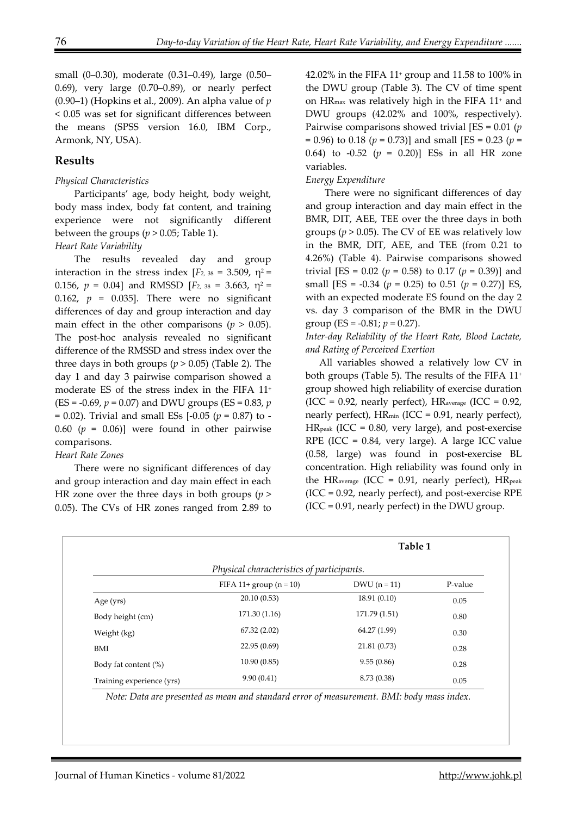small (0–0.30), moderate (0.31–0.49), large (0.50– 0.69), very large (0.70–0.89), or nearly perfect (0.90–1) (Hopkins et al., 2009). An alpha value of *p*  < 0.05 was set for significant differences between the means (SPSS version 16.0, IBM Corp., Armonk, NY, USA).

# **Results**

#### *Physical Characteristics*

Participants' age, body height, body weight, body mass index, body fat content, and training experience were not significantly different between the groups ( $p > 0.05$ ; Table 1).

#### *Heart Rate Variability*

The results revealed day and group interaction in the stress index  $[F_2$ ,  $38 = 3.509$ ,  $\eta^2 =$ 0.156,  $p = 0.04$ ] and RMSSD [ $F_2$ ,  $38 = 3.663$ ,  $\eta^2 =$ 0.162,  $p = 0.035$ ]. There were no significant differences of day and group interaction and day main effect in the other comparisons ( $p > 0.05$ ). The post-hoc analysis revealed no significant difference of the RMSSD and stress index over the three days in both groups  $(p > 0.05)$  (Table 2). The day 1 and day 3 pairwise comparison showed a moderate ES of the stress index in the FIFA 11+ (ES = -0.69, *p* = 0.07) and DWU groups (ES = 0.83, *p*  = 0.02). Trivial and small ESs [-0.05 (*p* = 0.87) to - 0.60  $(p = 0.06)$ ] were found in other pairwise comparisons.

# *Heart Rate Zones*

There were no significant differences of day and group interaction and day main effect in each HR zone over the three days in both groups (*p* > 0.05). The CVs of HR zones ranged from 2.89 to

42.02% in the FIFA 11+ group and 11.58 to 100% in the DWU group (Table 3). The CV of time spent on HRmax was relatively high in the FIFA 11+ and DWU groups (42.02% and 100%, respectively). Pairwise comparisons showed trivial [ES = 0.01 (*p*  = 0.96) to 0.18 (*p* = 0.73)] and small [ES = 0.23 (*p* = 0.64) to -0.52 (*p* = 0.20)] ESs in all HR zone variables.

# *Energy Expenditure*

There were no significant differences of day and group interaction and day main effect in the BMR, DIT, AEE, TEE over the three days in both groups ( $p > 0.05$ ). The CV of EE was relatively low in the BMR, DIT, AEE, and TEE (from 0.21 to 4.26%) (Table 4). Pairwise comparisons showed trivial [ES =  $0.02$  ( $p = 0.58$ ) to 0.17 ( $p = 0.39$ )] and small [ES = -0.34 (*p* = 0.25) to 0.51 (*p* = 0.27)] ES, with an expected moderate ES found on the day 2 vs. day 3 comparison of the BMR in the DWU group (ES =  $-0.81; p = 0.27$ ).

#### *Inter-day Reliability of the Heart Rate, Blood Lactate, and Rating of Perceived Exertion*

All variables showed a relatively low CV in both groups (Table 5). The results of the FIFA 11+ group showed high reliability of exercise duration  $(ICC = 0.92, nearly perfect)$ , HRaverage  $(ICC = 0.92,$ nearly perfect), HR<sub>min</sub> (ICC = 0.91, nearly perfect),  $HR_{peak}$  (ICC = 0.80, very large), and post-exercise RPE (ICC =  $0.84$ , very large). A large ICC value (0.58, large) was found in post-exercise BL concentration. High reliability was found only in the HR<sub>average</sub> (ICC = 0.91, nearly perfect), HR<sub>peak</sub> (ICC = 0.92, nearly perfect), and post-exercise RPE  $(ICC = 0.91, nearly perfect)$  in the DWU group.

|                           | Table 1                                   |               |         |  |  |  |  |
|---------------------------|-------------------------------------------|---------------|---------|--|--|--|--|
|                           | Physical characteristics of participants. |               |         |  |  |  |  |
|                           | FIFA $11+$ group (n = 10)                 | $DWU(n=11)$   | P-value |  |  |  |  |
| Age (yrs)                 | 20.10(0.53)                               | 18.91(0.10)   | 0.05    |  |  |  |  |
| Body height (cm)          | 171.30 (1.16)                             | 171.79 (1.51) | 0.80    |  |  |  |  |
| Weight (kg)               | 67.32(2.02)                               | 64.27 (1.99)  | 0.30    |  |  |  |  |
| BMI                       | 22.95(0.69)                               | 21.81 (0.73)  | 0.28    |  |  |  |  |
| Body fat content (%)      | 10.90(0.85)                               | 9.55(0.86)    | 0.28    |  |  |  |  |
| Training experience (yrs) | 9.90(0.41)                                | 8.73 (0.38)   | 0.05    |  |  |  |  |

*Note: Data are presented as mean and standard error of measurement. BMI: body mass index.*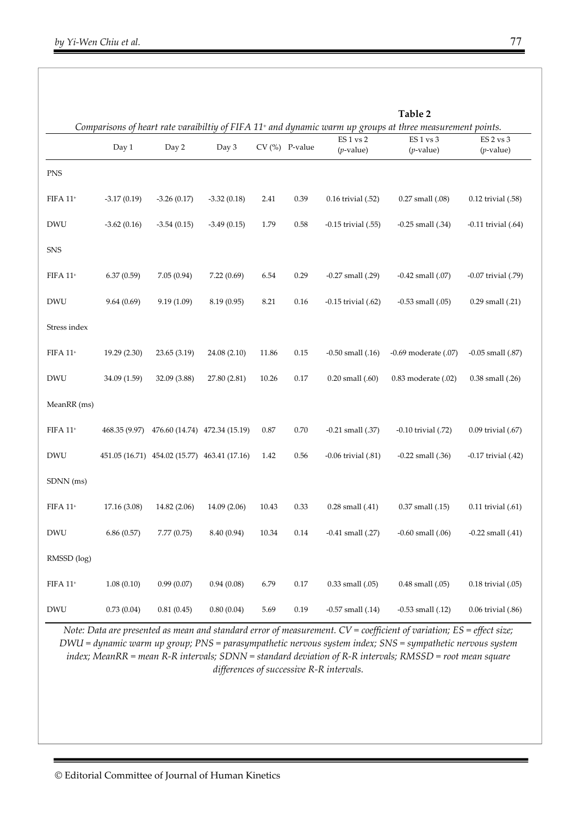|                            |               |                                              |                               |       |                  | Table 2<br>Comparisons of heart rate varaibiltiy of FIFA 11 <sup>+</sup> and dynamic warm up groups at three measurement points. |                          |                           |  |
|----------------------------|---------------|----------------------------------------------|-------------------------------|-------|------------------|----------------------------------------------------------------------------------------------------------------------------------|--------------------------|---------------------------|--|
|                            | Day 1         | Day 2                                        | Day 3                         |       | $CV$ (%) P-value | <b>ES1 vs2</b><br>$(p$ -value)                                                                                                   | ES1 vs3<br>$(p$ -value)  | ES 2 vs 3<br>$(p$ -value) |  |
| <b>PNS</b>                 |               |                                              |                               |       |                  |                                                                                                                                  |                          |                           |  |
| <b>FIFA 11<sup>+</sup></b> | $-3.17(0.19)$ | $-3.26(0.17)$                                | $-3.32(0.18)$                 | 2.41  | 0.39             | 0.16 trivial (.52)                                                                                                               | $0.27$ small $(.08)$     | 0.12 trivial (.58)        |  |
| <b>DWU</b>                 | $-3.62(0.16)$ | $-3.54(0.15)$                                | $-3.49(0.15)$                 | 1.79  | $0.58\,$         | $-0.15$ trivial $(.55)$                                                                                                          | $-0.25$ small $(.34)$    | $-0.11$ trivial $(.64)$   |  |
| SNS                        |               |                                              |                               |       |                  |                                                                                                                                  |                          |                           |  |
| <b>FIFA 11<sup>+</sup></b> | 6.37(0.59)    | 7.05(0.94)                                   | 7.22(0.69)                    | 6.54  | $0.29\,$         | $-0.27$ small $(.29)$                                                                                                            | $-0.42$ small $(.07)$    | $-0.07$ trivial $(.79)$   |  |
| <b>DWU</b>                 | 9.64(0.69)    | 9.19(1.09)                                   | 8.19(0.95)                    | 8.21  | 0.16             | $-0.15$ trivial $(.62)$                                                                                                          | $-0.53$ small $(.05)$    | $0.29$ small $(.21)$      |  |
| Stress index               |               |                                              |                               |       |                  |                                                                                                                                  |                          |                           |  |
| <b>FIFA 11<sup>+</sup></b> | 19.29 (2.30)  | 23.65(3.19)                                  | 24.08 (2.10)                  | 11.86 | 0.15             | $-0.50$ small $(.16)$                                                                                                            | $-0.69$ moderate $(.07)$ | $-0.05$ small $(.87)$     |  |
| <b>DWU</b>                 | 34.09 (1.59)  | 32.09 (3.88)                                 | 27.80 (2.81)                  | 10.26 | $0.17\,$         | $0.20$ small $(.60)$                                                                                                             | 0.83 moderate (.02)      | 0.38 small (.26)          |  |
| MeanRR (ms)                |               |                                              |                               |       |                  |                                                                                                                                  |                          |                           |  |
| $FIFA 11*$                 | 468.35 (9.97) |                                              | 476.60 (14.74) 472.34 (15.19) | 0.87  | 0.70             | $-0.21$ small $(.37)$                                                                                                            | $-0.10$ trivial $(.72)$  | 0.09 trivial (.67)        |  |
| <b>DWU</b>                 |               | 451.05 (16.71) 454.02 (15.77) 463.41 (17.16) |                               | 1.42  | $0.56\,$         | $-0.06$ trivial $(.81)$                                                                                                          | $-0.22$ small $(.36)$    | $-0.17$ trivial $(.42)$   |  |
| SDNN (ms)                  |               |                                              |                               |       |                  |                                                                                                                                  |                          |                           |  |
| <b>FIFA 11+</b>            | 17.16 (3.08)  | 14.82 (2.06)                                 | 14.09 (2.06)                  | 10.43 | 0.33             | $0.28$ small $(.41)$                                                                                                             | 0.37 small (.15)         | 0.11 trivial (.61)        |  |
| <b>DWU</b>                 | 6.86(0.57)    | 7.77 (0.75)                                  | 8.40 (0.94)                   | 10.34 | 0.14             | $-0.41$ small $(.27)$                                                                                                            | $-0.60$ small $(.06)$    | $-0.22$ small $(.41)$     |  |
| RMSSD (log)                |               |                                              |                               |       |                  |                                                                                                                                  |                          |                           |  |
| $FIFA 11+$                 | 1.08(0.10)    | 0.99(0.07)                                   | 0.94(0.08)                    | 6.79  | $0.17\,$         | 0.33 small (.05)                                                                                                                 | 0.48 small (.05)         | 0.18 trivial (.05)        |  |
| <b>DWU</b>                 | 0.73(0.04)    | 0.81(0.45)                                   | 0.80(0.04)                    | 5.69  | $0.19\,$         | $-0.57$ small $(.14)$                                                                                                            | $-0.53$ small $(.12)$    | 0.06 trivial (.86)        |  |

*Note: Data are presented as mean and standard error of measurement. CV = coefficient of variation; ES = effect size; DWU = dynamic warm up group; PNS = parasympathetic nervous system index; SNS = sympathetic nervous system index; MeanRR = mean R-R intervals; SDNN = standard deviation of R-R intervals; RMSSD = root mean square differences of successive R-R intervals.*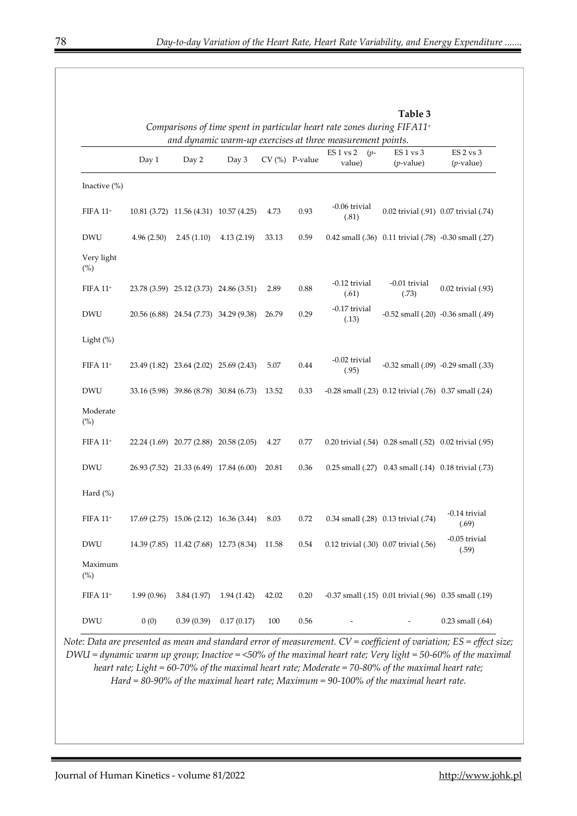|                      | Comparisons of time spent in particular heart rate zones during FIFA11 <sup>+</sup><br>and dynamic warm-up exercises at three measurement points. |                                             |            |       |                 |                                          |                                                        |                             |  |
|----------------------|---------------------------------------------------------------------------------------------------------------------------------------------------|---------------------------------------------|------------|-------|-----------------|------------------------------------------|--------------------------------------------------------|-----------------------------|--|
|                      | Day 1                                                                                                                                             | Day 2                                       | Day 3      |       | $CV(%)$ P-value | ES 1 vs 2<br>$(p-$<br>value)             | $ES1$ vs 3<br>$(p$ -value)                             | $ES$ 2 vs 3<br>$(p$ -value) |  |
| Inactive (%)         |                                                                                                                                                   |                                             |            |       |                 |                                          |                                                        |                             |  |
| <b>FIFA 11+</b>      |                                                                                                                                                   | 10.81 (3.72) 11.56 (4.31) 10.57 (4.25)      |            | 4.73  | 0.93            | -0.06 trivial<br>(.81)                   | 0.02 trivial (.91) 0.07 trivial (.74)                  |                             |  |
| <b>DWU</b>           | 4.96(2.50)                                                                                                                                        | 2.45(1.10)                                  | 4.13(2.19) | 33.13 | 0.59            |                                          | 0.42 small (.36) 0.11 trivial (.78) -0.30 small (.27)  |                             |  |
| Very light<br>(%)    |                                                                                                                                                   |                                             |            |       |                 |                                          |                                                        |                             |  |
| <b>FIFA 11+</b>      |                                                                                                                                                   | 23.78 (3.59) 25.12 (3.73) 24.86 (3.51)      |            | 2.89  | 0.88            | -0.12 trivial<br>(.61)                   | -0.01 trivial<br>(.73)                                 | 0.02 trivial (.93)          |  |
| <b>DWU</b>           |                                                                                                                                                   | 20.56 (6.88) 24.54 (7.73) 34.29 (9.38)      |            | 26.79 | 0.29            | -0.17 trivial<br>(.13)                   | -0.52 small (.20) -0.36 small (.49)                    |                             |  |
| Light $(\%)$         |                                                                                                                                                   |                                             |            |       |                 |                                          |                                                        |                             |  |
| <b>FIFA 11+</b>      |                                                                                                                                                   | 23.49 (1.82) 23.64 (2.02) 25.69 (2.43)      |            | 5.07  | 0.44            | -0.02 trivial<br>(.95)                   | $-0.32$ small $(.09)$ $-0.29$ small $(.33)$            |                             |  |
| <b>DWU</b>           |                                                                                                                                                   | 33.16 (5.98) 39.86 (8.78) 30.84 (6.73)      |            | 13.52 | 0.33            |                                          | -0.28 small (.23) 0.12 trivial (.76) 0.37 small (.24)  |                             |  |
| Moderate<br>(%)      |                                                                                                                                                   |                                             |            |       |                 |                                          |                                                        |                             |  |
| FIFA $11^+$          |                                                                                                                                                   | 22.24 (1.69) 20.77 (2.88) 20.58 (2.05)      |            | 4.27  | 0.77            |                                          | 0.20 trivial (.54) 0.28 small (.52) 0.02 trivial (.95) |                             |  |
| <b>DWU</b>           |                                                                                                                                                   | 26.93 (7.52) 21.33 (6.49) 17.84 (6.00)      |            | 20.81 | 0.36            |                                          | 0.25 small (.27) 0.43 small (.14) 0.18 trivial (.73)   |                             |  |
| Hard (%)             |                                                                                                                                                   |                                             |            |       |                 |                                          |                                                        |                             |  |
| FIFA 11 <sup>+</sup> |                                                                                                                                                   | 17.69 (2.75) 15.06 (2.12) 16.36 (3.44) 8.03 |            |       |                 | 0.72 0.34 small (.28) 0.13 trivial (.74) |                                                        | -0.14 trivial<br>(.69)      |  |
| <b>DWU</b>           |                                                                                                                                                   | 14.39 (7.85) 11.42 (7.68) 12.73 (8.34)      |            | 11.58 | 0.54            |                                          | 0.12 trivial (.30) 0.07 trivial (.56)                  | -0.05 trivial<br>(.59)      |  |
| Maximum<br>(%)       |                                                                                                                                                   |                                             |            |       |                 |                                          |                                                        |                             |  |
| <b>FIFA 11+</b>      | 1.99(0.96)                                                                                                                                        | 3.84(1.97)                                  | 1.94(1.42) | 42.02 | 0.20            |                                          | -0.37 small (.15) 0.01 trivial (.96) 0.35 small (.19)  |                             |  |
| <b>DWU</b>           | 0(0)                                                                                                                                              | 0.39(0.39)                                  | 0.17(0.17) | 100   | 0.56            |                                          | $\overline{\phantom{a}}$                               | 0.23 small (.64)            |  |

*Note: Data are presented as mean and standard error of measurement. CV = coefficient of variation; ES = effect size; DWU = dynamic warm up group; Inactive = <50% of the maximal heart rate; Very light = 50-60% of the maximal heart rate; Light = 60-70% of the maximal heart rate; Moderate = 70-80% of the maximal heart rate; Hard = 80-90% of the maximal heart rate; Maximum = 90-100% of the maximal heart rate.*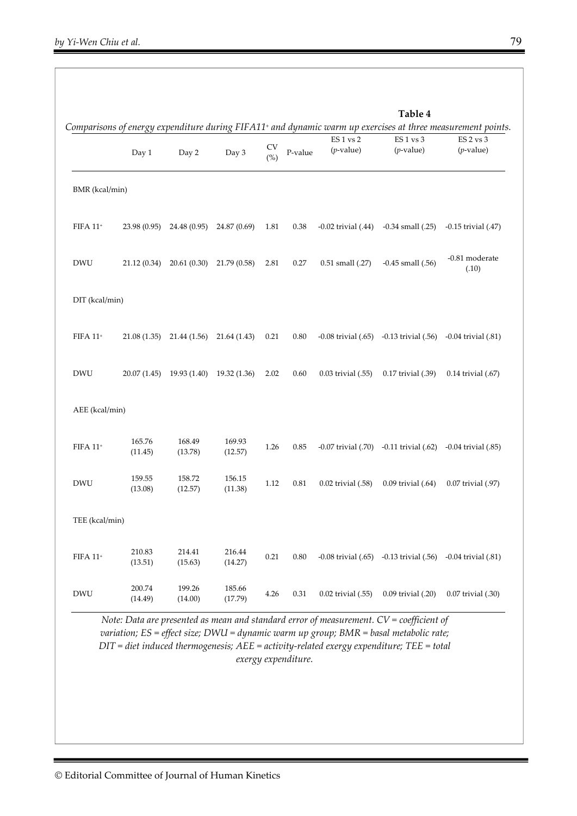|                            |                   |                   |                   |           |          |                         | Table 4                                                                                                                                   |                         |
|----------------------------|-------------------|-------------------|-------------------|-----------|----------|-------------------------|-------------------------------------------------------------------------------------------------------------------------------------------|-------------------------|
|                            |                   |                   |                   |           |          | <b>ES 1 vs 2</b>        | Comparisons of energy expenditure during FIFA11 <sup>+</sup> and dynamic warm up exercises at three measurement points.<br><b>ES1 vs3</b> | $ES$ 2 vs 3             |
|                            | Day 1             | Day 2             | Day 3             | CV<br>(%) | P-value  | $(p$ -value)            | $(p$ -value)                                                                                                                              | $(p$ -value)            |
| BMR (kcal/min)             |                   |                   |                   |           |          |                         |                                                                                                                                           |                         |
| <b>FIFA 11<sup>+</sup></b> | 23.98 (0.95)      | 24.48 (0.95)      | 24.87 (0.69)      | 1.81      | 0.38     | $-0.02$ trivial $(.44)$ | $-0.34$ small $(.25)$                                                                                                                     | $-0.15$ trivial $(.47)$ |
| <b>DWU</b>                 | 21.12 (0.34)      | 20.61(0.30)       | 21.79 (0.58)      | 2.81      | 0.27     | 0.51 small (.27)        | $-0.45$ small $(.56)$                                                                                                                     | -0.81 moderate<br>(.10) |
| DIT (kcal/min)             |                   |                   |                   |           |          |                         |                                                                                                                                           |                         |
| FIFA 11 <sup>+</sup>       | 21.08(1.35)       | 21.44 (1.56)      | 21.64 (1.43)      | 0.21      | 0.80     |                         | -0.08 trivial (.65) -0.13 trivial (.56) -0.04 trivial (.81)                                                                               |                         |
| <b>DWU</b>                 | 20.07(1.45)       | 19.93 (1.40)      | 19.32 (1.36)      | 2.02      | 0.60     | 0.03 trivial (.55)      | 0.17 trivial (.39)                                                                                                                        | 0.14 trivial (.67)      |
| AEE (kcal/min)             |                   |                   |                   |           |          |                         |                                                                                                                                           |                         |
| <b>FIFA 11+</b>            | 165.76<br>(11.45) | 168.49<br>(13.78) | 169.93<br>(12.57) | 1.26      | 0.85     |                         | $-0.07$ trivial $(.70)$ $-0.11$ trivial $(.62)$                                                                                           | $-0.04$ trivial $(.85)$ |
| <b>DWU</b>                 | 159.55<br>(13.08) | 158.72<br>(12.57) | 156.15<br>(11.38) | 1.12      | 0.81     | 0.02 trivial (.58)      | 0.09 trivial (.64)                                                                                                                        | 0.07 trivial (.97)      |
| TEE (kcal/min)             |                   |                   |                   |           |          |                         |                                                                                                                                           |                         |
| ${\rm FIFA}$ $11^{\circ}$  | 210.83<br>(13.51) | 214.41<br>(15.63) | 216.44<br>(14.27) | 0.21      | $0.80\,$ | $-0.08$ trivial $(.65)$ | $-0.13$ trivial $(.56)$                                                                                                                   | $-0.04$ trivial $(.81)$ |
| <b>DWU</b>                 | 200.74<br>(14.49) | 199.26<br>(14.00) | 185.66<br>(17.79) | 4.26      | 0.31     | 0.02 trivial (.55)      | 0.09 trivial (.20)                                                                                                                        | 0.07 trivial (.30)      |

*Note: Data are presented as mean and standard error of measurement. CV = coefficient of variation; ES = effect size; DWU = dynamic warm up group; BMR = basal metabolic rate; DIT = diet induced thermogenesis; AEE = activity-related exergy expenditure; TEE = total exergy expenditure.*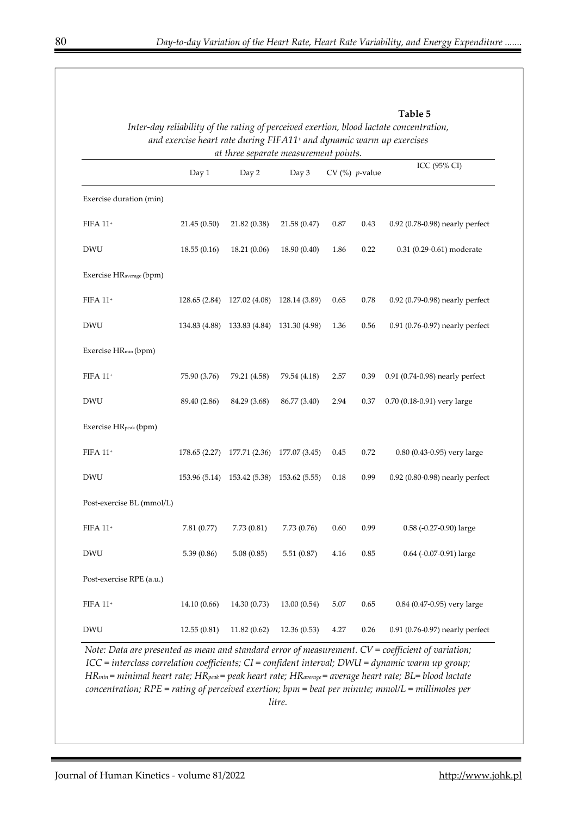|                                                                                                                           |              |                                           |              |          |                          | Table 5<br>Inter-day reliability of the rating of perceived exertion, blood lactate concentration, |  |  |  |
|---------------------------------------------------------------------------------------------------------------------------|--------------|-------------------------------------------|--------------|----------|--------------------------|----------------------------------------------------------------------------------------------------|--|--|--|
|                                                                                                                           |              |                                           |              |          |                          |                                                                                                    |  |  |  |
| and exercise heart rate during FIFA11 <sup>+</sup> and dynamic warm up exercises<br>at three separate measurement points. |              |                                           |              |          |                          |                                                                                                    |  |  |  |
|                                                                                                                           | Day 1        | Day 2                                     | Day 3        |          | $CV$ (%) <i>p</i> -value | ICC (95% CI)                                                                                       |  |  |  |
| Exercise duration (min)                                                                                                   |              |                                           |              |          |                          |                                                                                                    |  |  |  |
| <b>FIFA 11+</b>                                                                                                           | 21.45(0.50)  | 21.82 (0.38)                              | 21.58 (0.47) | 0.87     | 0.43                     | 0.92 (0.78-0.98) nearly perfect                                                                    |  |  |  |
| <b>DWU</b>                                                                                                                | 18.55(0.16)  | 18.21 (0.06)                              | 18.90 (0.40) | 1.86     | 0.22                     | 0.31 (0.29-0.61) moderate                                                                          |  |  |  |
| Exercise HRaverage (bpm)                                                                                                  |              |                                           |              |          |                          |                                                                                                    |  |  |  |
| <b>FIFA 11<sup>+</sup></b>                                                                                                |              | 128.65 (2.84) 127.02 (4.08) 128.14 (3.89) |              | 0.65     | 0.78                     | 0.92 (0.79-0.98) nearly perfect                                                                    |  |  |  |
| <b>DWU</b>                                                                                                                |              | 134.83 (4.88) 133.83 (4.84) 131.30 (4.98) |              | 1.36     | 0.56                     | 0.91 (0.76-0.97) nearly perfect                                                                    |  |  |  |
| Exercise HR <sub>min</sub> (bpm)                                                                                          |              |                                           |              |          |                          |                                                                                                    |  |  |  |
| <b>FIFA 11<sup>+</sup></b>                                                                                                | 75.90 (3.76) | 79.21 (4.58)                              | 79.54 (4.18) | 2.57     | 0.39                     | 0.91 (0.74-0.98) nearly perfect                                                                    |  |  |  |
| <b>DWU</b>                                                                                                                | 89.40 (2.86) | 84.29 (3.68)                              | 86.77 (3.40) | 2.94     | 0.37                     | 0.70 (0.18-0.91) very large                                                                        |  |  |  |
| Exercise HR <sub>peak</sub> (bpm)                                                                                         |              |                                           |              |          |                          |                                                                                                    |  |  |  |
| $FIFA 11+$                                                                                                                |              | 178.65 (2.27) 177.71 (2.36) 177.07 (3.45) |              | 0.45     | 0.72                     | 0.80 (0.43-0.95) very large                                                                        |  |  |  |
| <b>DWU</b>                                                                                                                |              | 153.96 (5.14) 153.42 (5.38) 153.62 (5.55) |              | 0.18     | 0.99                     | 0.92 (0.80-0.98) nearly perfect                                                                    |  |  |  |
| Post-exercise BL (mmol/L)                                                                                                 |              |                                           |              |          |                          |                                                                                                    |  |  |  |
| FIFA $11^+$                                                                                                               | 7.81 (0.77)  | 7.73(0.81)                                | 7.73 (0.76)  | $0.60\,$ | 0.99                     | 0.58 (-0.27-0.90) large                                                                            |  |  |  |
| <b>DWU</b>                                                                                                                | 5.39(0.86)   | 5.08(0.85)                                | 5.51(0.87)   | 4.16     | $0.85\,$                 | 0.64 (-0.07-0.91) large                                                                            |  |  |  |
| Post-exercise RPE (a.u.)                                                                                                  |              |                                           |              |          |                          |                                                                                                    |  |  |  |
| FIFA $11^+$                                                                                                               | 14.10 (0.66) | 14.30 (0.73)                              | 13.00 (0.54) | 5.07     | 0.65                     | 0.84 (0.47-0.95) very large                                                                        |  |  |  |
| ${\rm DWU}$                                                                                                               | 12.55(0.81)  | 11.82(0.62)                               | 12.36(0.53)  | 4.27     | 0.26                     | 0.91 (0.76-0.97) nearly perfect                                                                    |  |  |  |

*Note: Data are presented as mean and standard error of measurement. CV = coefficient of variation; ICC = interclass correlation coefficients; CI = confident interval; DWU = dynamic warm up group; HRmin = minimal heart rate; HRpeak = peak heart rate; HRaverage = average heart rate; BL= blood lactate concentration; RPE = rating of perceived exertion; bpm = beat per minute; mmol/L = millimoles per litre.*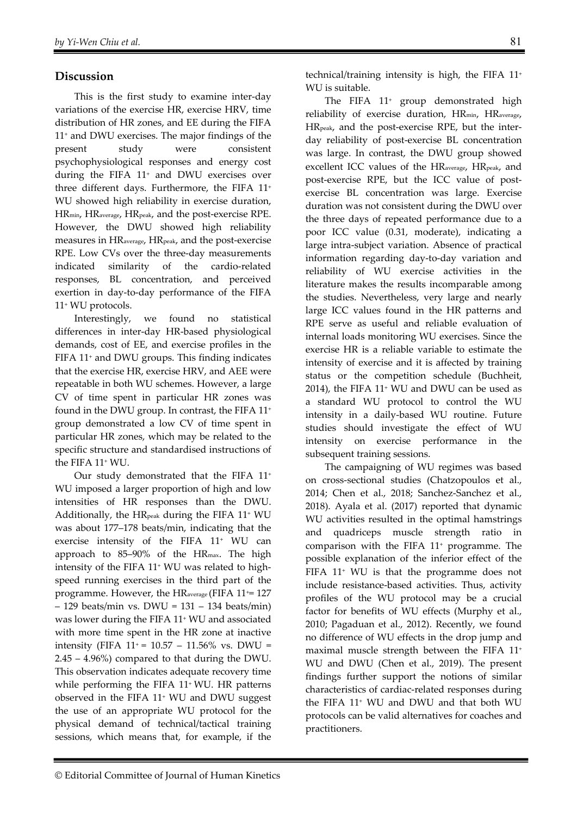# **Discussion**

This is the first study to examine inter-day variations of the exercise HR, exercise HRV, time distribution of HR zones, and EE during the FIFA 11+ and DWU exercises. The major findings of the present study were consistent psychophysiological responses and energy cost during the FIFA 11+ and DWU exercises over three different days. Furthermore, the FIFA 11+ WU showed high reliability in exercise duration, HRmin, HRaverage, HRpeak, and the post-exercise RPE. However, the DWU showed high reliability measures in HRaverage, HRpeak, and the post-exercise RPE. Low CVs over the three-day measurements indicated similarity of the cardio-related responses, BL concentration, and perceived exertion in day-to-day performance of the FIFA 11+ WU protocols.

Interestingly, we found no statistical differences in inter-day HR-based physiological demands, cost of EE, and exercise profiles in the FIFA 11+ and DWU groups. This finding indicates that the exercise HR, exercise HRV, and AEE were repeatable in both WU schemes. However, a large CV of time spent in particular HR zones was found in the DWU group. In contrast, the FIFA 11+ group demonstrated a low CV of time spent in particular HR zones, which may be related to the specific structure and standardised instructions of the FIFA 11+ WU.

Our study demonstrated that the FIFA 11+ WU imposed a larger proportion of high and low intensities of HR responses than the DWU. Additionally, the HRpeak during the FIFA 11+ WU was about 177–178 beats/min, indicating that the exercise intensity of the FIFA 11+ WU can approach to 85–90% of the HRmax. The high intensity of the FIFA 11+ WU was related to highspeed running exercises in the third part of the programme. However, the HR<sub>average</sub> (FIFA 11<sup>+</sup>= 127  $-129$  beats/min vs. DWU = 131 - 134 beats/min) was lower during the FIFA 11+ WU and associated with more time spent in the HR zone at inactive intensity (FIFA  $11^+= 10.57 - 11.56\%$  vs. DWU = 2.45 – 4.96%) compared to that during the DWU. This observation indicates adequate recovery time while performing the FIFA 11<sup>+</sup> WU. HR patterns observed in the FIFA 11+ WU and DWU suggest the use of an appropriate WU protocol for the physical demand of technical/tactical training sessions, which means that, for example, if the

technical/training intensity is high, the FIFA 11+ WU is suitable.

The FIFA 11<sup>+</sup> group demonstrated high reliability of exercise duration, HRmin, HRaverage, HRpeak, and the post-exercise RPE, but the interday reliability of post-exercise BL concentration was large. In contrast, the DWU group showed excellent ICC values of the HRaverage, HRpeak, and post-exercise RPE, but the ICC value of postexercise BL concentration was large. Exercise duration was not consistent during the DWU over the three days of repeated performance due to a poor ICC value (0.31, moderate), indicating a large intra-subject variation. Absence of practical information regarding day-to-day variation and reliability of WU exercise activities in the literature makes the results incomparable among the studies. Nevertheless, very large and nearly large ICC values found in the HR patterns and RPE serve as useful and reliable evaluation of internal loads monitoring WU exercises. Since the exercise HR is a reliable variable to estimate the intensity of exercise and it is affected by training status or the competition schedule (Buchheit, 2014), the FIFA 11+ WU and DWU can be used as a standard WU protocol to control the WU intensity in a daily-based WU routine. Future studies should investigate the effect of WU intensity on exercise performance in the subsequent training sessions.

The campaigning of WU regimes was based on cross-sectional studies (Chatzopoulos et al., 2014; Chen et al., 2018; Sanchez-Sanchez et al., 2018). Ayala et al. (2017) reported that dynamic WU activities resulted in the optimal hamstrings and quadriceps muscle strength ratio in comparison with the FIFA 11+ programme. The possible explanation of the inferior effect of the FIFA 11+ WU is that the programme does not include resistance-based activities. Thus, activity profiles of the WU protocol may be a crucial factor for benefits of WU effects (Murphy et al., 2010; Pagaduan et al., 2012). Recently, we found no difference of WU effects in the drop jump and maximal muscle strength between the FIFA 11+ WU and DWU (Chen et al., 2019). The present findings further support the notions of similar characteristics of cardiac-related responses during the FIFA 11+ WU and DWU and that both WU protocols can be valid alternatives for coaches and practitioners.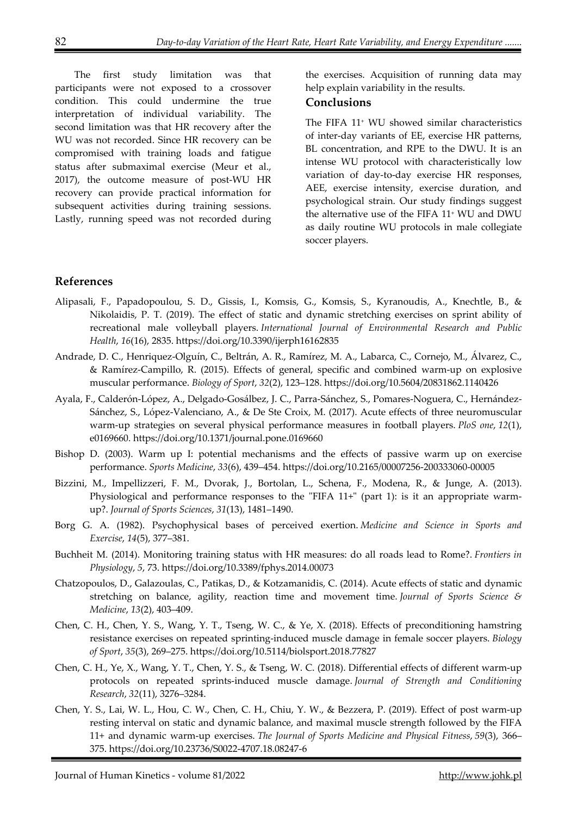The first study limitation was that participants were not exposed to a crossover condition. This could undermine the true interpretation of individual variability. The second limitation was that HR recovery after the WU was not recorded. Since HR recovery can be compromised with training loads and fatigue status after submaximal exercise (Meur et al., 2017), the outcome measure of post-WU HR recovery can provide practical information for subsequent activities during training sessions. Lastly, running speed was not recorded during the exercises. Acquisition of running data may help explain variability in the results.

# **Conclusions**

The FIFA 11+ WU showed similar characteristics of inter-day variants of EE, exercise HR patterns, BL concentration, and RPE to the DWU. It is an intense WU protocol with characteristically low variation of day-to-day exercise HR responses, AEE, exercise intensity, exercise duration, and psychological strain. Our study findings suggest the alternative use of the FIFA 11+ WU and DWU as daily routine WU protocols in male collegiate soccer players.

# **References**

- Alipasali, F., Papadopoulou, S. D., Gissis, I., Komsis, G., Komsis, S., Kyranoudis, A., Knechtle, B., & Nikolaidis, P. T. (2019). The effect of static and dynamic stretching exercises on sprint ability of recreational male volleyball players. *International Journal of Environmental Research and Public Health*, *16*(16), 2835. https://doi.org/10.3390/ijerph16162835
- Andrade, D. C., Henriquez-Olguín, C., Beltrán, A. R., Ramírez, M. A., Labarca, C., Cornejo, M., Álvarez, C., & Ramírez-Campillo, R. (2015). Effects of general, specific and combined warm-up on explosive muscular performance. *Biology of Sport*, *32*(2), 123–128. https://doi.org/10.5604/20831862.1140426
- Ayala, F., Calderón-López, A., Delgado-Gosálbez, J. C., Parra-Sánchez, S., Pomares-Noguera, C., Hernández-Sánchez, S., López-Valenciano, A., & De Ste Croix, M. (2017). Acute effects of three neuromuscular warm-up strategies on several physical performance measures in football players. *PloS one*, *12*(1), e0169660. https://doi.org/10.1371/journal.pone.0169660
- Bishop D. (2003). Warm up I: potential mechanisms and the effects of passive warm up on exercise performance. *Sports Medicine*, *33*(6), 439–454. https://doi.org/10.2165/00007256-200333060-00005
- Bizzini, M., Impellizzeri, F. M., Dvorak, J., Bortolan, L., Schena, F., Modena, R., & Junge, A. (2013). Physiological and performance responses to the "FIFA 11+" (part 1): is it an appropriate warmup?. *Journal of Sports Sciences*, *31*(13), 1481–1490.
- Borg G. A. (1982). Psychophysical bases of perceived exertion. *Medicine and Science in Sports and Exercise*, *14*(5), 377–381.
- Buchheit M. (2014). Monitoring training status with HR measures: do all roads lead to Rome?. *Frontiers in Physiology*, *5*, 73. https://doi.org/10.3389/fphys.2014.00073
- Chatzopoulos, D., Galazoulas, C., Patikas, D., & Kotzamanidis, C. (2014). Acute effects of static and dynamic stretching on balance, agility, reaction time and movement time. *Journal of Sports Science & Medicine*, *13*(2), 403–409.
- Chen, C. H., Chen, Y. S., Wang, Y. T., Tseng, W. C., & Ye, X. (2018). Effects of preconditioning hamstring resistance exercises on repeated sprinting-induced muscle damage in female soccer players. *Biology of Sport*, *35*(3), 269–275. https://doi.org/10.5114/biolsport.2018.77827
- Chen, C. H., Ye, X., Wang, Y. T., Chen, Y. S., & Tseng, W. C. (2018). Differential effects of different warm-up protocols on repeated sprints-induced muscle damage. *Journal of Strength and Conditioning Research*, *32*(11), 3276–3284.
- Chen, Y. S., Lai, W. L., Hou, C. W., Chen, C. H., Chiu, Y. W., & Bezzera, P. (2019). Effect of post warm-up resting interval on static and dynamic balance, and maximal muscle strength followed by the FIFA 11+ and dynamic warm-up exercises. *The Journal of Sports Medicine and Physical Fitness*, *59*(3), 366– 375. https://doi.org/10.23736/S0022-4707.18.08247-6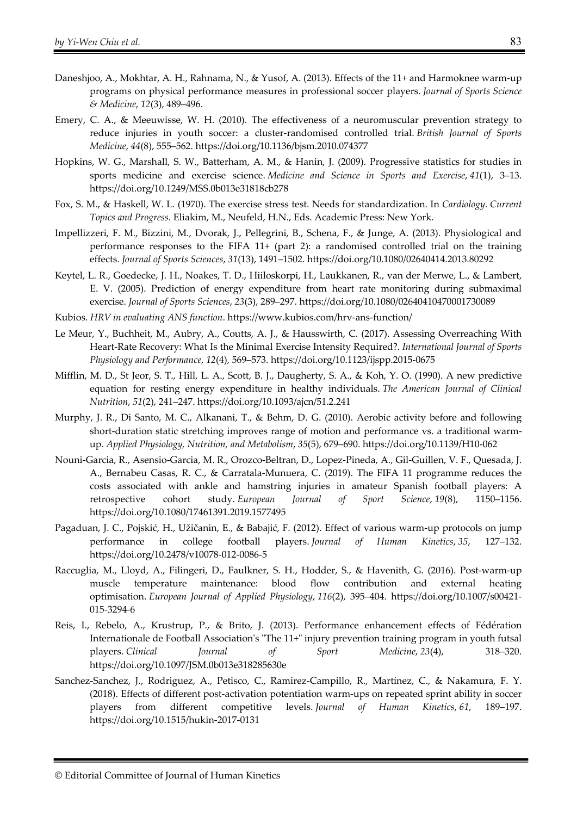- Daneshjoo, A., Mokhtar, A. H., Rahnama, N., & Yusof, A. (2013). Effects of the 11+ and Harmoknee warm-up programs on physical performance measures in professional soccer players. *Journal of Sports Science & Medicine*, *12*(3), 489–496.
- Emery, C. A., & Meeuwisse, W. H. (2010). The effectiveness of a neuromuscular prevention strategy to reduce injuries in youth soccer: a cluster-randomised controlled trial. *British Journal of Sports Medicine*, *44*(8), 555–562. https://doi.org/10.1136/bjsm.2010.074377
- Hopkins, W. G., Marshall, S. W., Batterham, A. M., & Hanin, J. (2009). Progressive statistics for studies in sports medicine and exercise science. *Medicine and Science in Sports and Exercise*, *41*(1), 3–13. https://doi.org/10.1249/MSS.0b013e31818cb278
- Fox, S. M., & Haskell, W. L. (1970). The exercise stress test. Needs for standardization. In *Cardiology. Current Topics and Progress*. Eliakim, M., Neufeld, H.N., Eds. Academic Press: New York.
- Impellizzeri, F. M., Bizzini, M., Dvorak, J., Pellegrini, B., Schena, F., & Junge, A. (2013). Physiological and performance responses to the FIFA 11+ (part 2): a randomised controlled trial on the training effects. *Journal of Sports Sciences*, *31*(13), 1491–1502. https://doi.org/10.1080/02640414.2013.80292
- Keytel, L. R., Goedecke, J. H., Noakes, T. D., Hiiloskorpi, H., Laukkanen, R., van der Merwe, L., & Lambert, E. V. (2005). Prediction of energy expenditure from heart rate monitoring during submaximal exercise. *Journal of Sports Sciences*, *23*(3), 289–297. https://doi.org/10.1080/02640410470001730089
- Kubios. *HRV in evaluating ANS function*. https://www.kubios.com/hrv-ans-function/
- Le Meur, Y., Buchheit, M., Aubry, A., Coutts, A. J., & Hausswirth, C. (2017). Assessing Overreaching With Heart-Rate Recovery: What Is the Minimal Exercise Intensity Required?. *International Journal of Sports Physiology and Performance*, *12*(4), 569–573. https://doi.org/10.1123/ijspp.2015-0675
- Mifflin, M. D., St Jeor, S. T., Hill, L. A., Scott, B. J., Daugherty, S. A., & Koh, Y. O. (1990). A new predictive equation for resting energy expenditure in healthy individuals. *The American Journal of Clinical Nutrition*, *51*(2), 241–247. https://doi.org/10.1093/ajcn/51.2.241
- Murphy, J. R., Di Santo, M. C., Alkanani, T., & Behm, D. G. (2010). Aerobic activity before and following short-duration static stretching improves range of motion and performance vs. a traditional warmup. *Applied Physiology, Nutrition, and Metabolism*, *35*(5), 679–690. https://doi.org/10.1139/H10-062
- Nouni-Garcia, R., Asensio-Garcia, M. R., Orozco-Beltran, D., Lopez-Pineda, A., Gil-Guillen, V. F., Quesada, J. A., Bernabeu Casas, R. C., & Carratala-Munuera, C. (2019). The FIFA 11 programme reduces the costs associated with ankle and hamstring injuries in amateur Spanish football players: A retrospective cohort study. *European Journal of Sport Science*, *19*(8), 1150–1156. https://doi.org/10.1080/17461391.2019.1577495
- Pagaduan, J. C., Pojskić, H., Užičanin, E., & Babajić, F. (2012). Effect of various warm-up protocols on jump performance in college football players. *Journal of Human Kinetics*, *35*, 127–132. https://doi.org/10.2478/v10078-012-0086-5
- Raccuglia, M., Lloyd, A., Filingeri, D., Faulkner, S. H., Hodder, S., & Havenith, G. (2016). Post-warm-up muscle temperature maintenance: blood flow contribution and external heating optimisation. *European Journal of Applied Physiology*, *116*(2), 395–404. https://doi.org/10.1007/s00421- 015-3294-6
- Reis, I., Rebelo, A., Krustrup, P., & Brito, J. (2013). Performance enhancement effects of Fédération Internationale de Football Association's "The 11+" injury prevention training program in youth futsal players. *Clinical Journal of Sport Medicine*, *23*(4), 318–320. https://doi.org/10.1097/JSM.0b013e318285630e
- Sanchez-Sanchez, J., Rodriguez, A., Petisco, C., Ramirez-Campillo, R., Martínez, C., & Nakamura, F. Y. (2018). Effects of different post-activation potentiation warm-ups on repeated sprint ability in soccer players from different competitive levels. *Journal of Human Kinetics*, *61*, 189–197. https://doi.org/10.1515/hukin-2017-0131